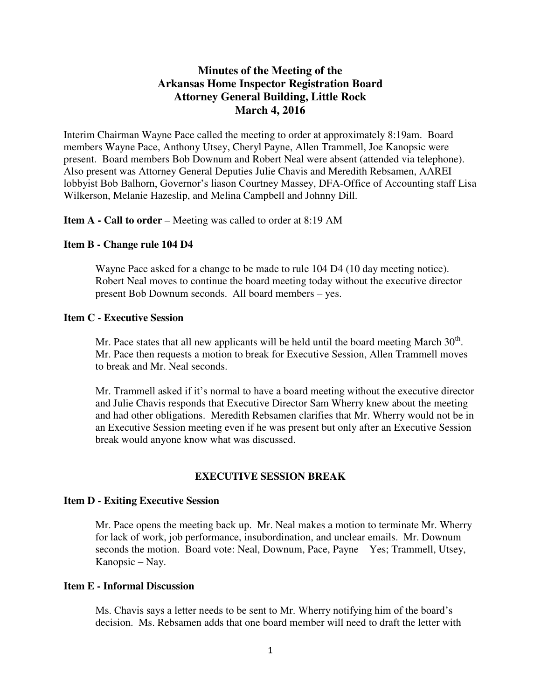# **Minutes of the Meeting of the Arkansas Home Inspector Registration Board Attorney General Building, Little Rock March 4, 2016**

Interim Chairman Wayne Pace called the meeting to order at approximately 8:19am. Board members Wayne Pace, Anthony Utsey, Cheryl Payne, Allen Trammell, Joe Kanopsic were present. Board members Bob Downum and Robert Neal were absent (attended via telephone). Also present was Attorney General Deputies Julie Chavis and Meredith Rebsamen, AAREI lobbyist Bob Balhorn, Governor's liason Courtney Massey, DFA-Office of Accounting staff Lisa Wilkerson, Melanie Hazeslip, and Melina Campbell and Johnny Dill.

**Item A - Call to order –** Meeting was called to order at 8:19 AM

#### **Item B - Change rule 104 D4**

Wayne Pace asked for a change to be made to rule 104 D4 (10 day meeting notice). Robert Neal moves to continue the board meeting today without the executive director present Bob Downum seconds. All board members – yes.

# **Item C - Executive Session**

Mr. Pace states that all new applicants will be held until the board meeting March  $30<sup>th</sup>$ . Mr. Pace then requests a motion to break for Executive Session, Allen Trammell moves to break and Mr. Neal seconds.

Mr. Trammell asked if it's normal to have a board meeting without the executive director and Julie Chavis responds that Executive Director Sam Wherry knew about the meeting and had other obligations. Meredith Rebsamen clarifies that Mr. Wherry would not be in an Executive Session meeting even if he was present but only after an Executive Session break would anyone know what was discussed.

# **EXECUTIVE SESSION BREAK**

#### **Item D - Exiting Executive Session**

Mr. Pace opens the meeting back up. Mr. Neal makes a motion to terminate Mr. Wherry for lack of work, job performance, insubordination, and unclear emails. Mr. Downum seconds the motion. Board vote: Neal, Downum, Pace, Payne – Yes; Trammell, Utsey, Kanopsic – Nay.

#### **Item E - Informal Discussion**

Ms. Chavis says a letter needs to be sent to Mr. Wherry notifying him of the board's decision. Ms. Rebsamen adds that one board member will need to draft the letter with